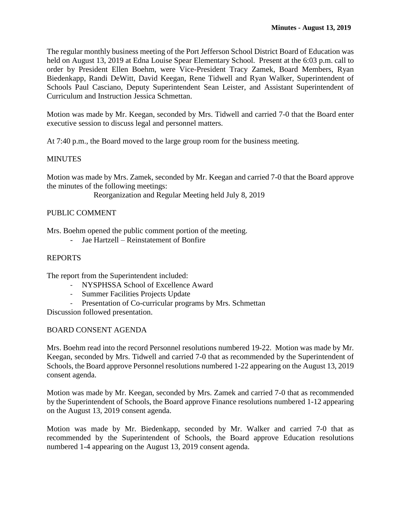The regular monthly business meeting of the Port Jefferson School District Board of Education was held on August 13, 2019 at Edna Louise Spear Elementary School. Present at the 6:03 p.m. call to order by President Ellen Boehm, were Vice-President Tracy Zamek, Board Members, Ryan Biedenkapp, Randi DeWitt, David Keegan, Rene Tidwell and Ryan Walker, Superintendent of Schools Paul Casciano, Deputy Superintendent Sean Leister, and Assistant Superintendent of Curriculum and Instruction Jessica Schmettan.

Motion was made by Mr. Keegan, seconded by Mrs. Tidwell and carried 7-0 that the Board enter executive session to discuss legal and personnel matters.

At 7:40 p.m., the Board moved to the large group room for the business meeting.

# MINUTES

Motion was made by Mrs. Zamek, seconded by Mr. Keegan and carried 7-0 that the Board approve the minutes of the following meetings:

Reorganization and Regular Meeting held July 8, 2019

## PUBLIC COMMENT

Mrs. Boehm opened the public comment portion of the meeting.

- Jae Hartzell – Reinstatement of Bonfire

### REPORTS

The report from the Superintendent included:

- NYSPHSSA School of Excellence Award
- Summer Facilities Projects Update
- Presentation of Co-curricular programs by Mrs. Schmettan

Discussion followed presentation.

#### BOARD CONSENT AGENDA

Mrs. Boehm read into the record Personnel resolutions numbered 19-22. Motion was made by Mr. Keegan, seconded by Mrs. Tidwell and carried 7-0 that as recommended by the Superintendent of Schools, the Board approve Personnel resolutions numbered 1-22 appearing on the August 13, 2019 consent agenda.

Motion was made by Mr. Keegan, seconded by Mrs. Zamek and carried 7-0 that as recommended by the Superintendent of Schools, the Board approve Finance resolutions numbered 1-12 appearing on the August 13, 2019 consent agenda.

Motion was made by Mr. Biedenkapp, seconded by Mr. Walker and carried 7-0 that as recommended by the Superintendent of Schools, the Board approve Education resolutions numbered 1-4 appearing on the August 13, 2019 consent agenda.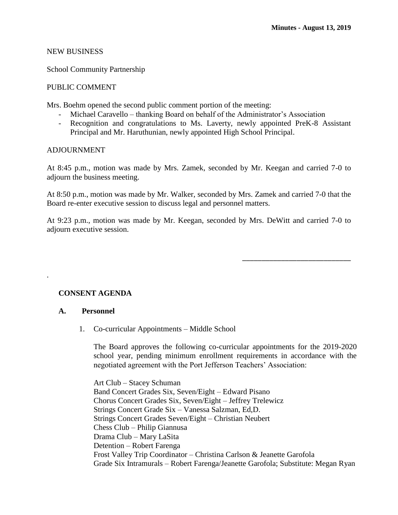\_\_\_\_\_\_\_\_\_\_\_\_\_\_\_\_\_\_\_\_\_\_\_\_\_\_\_\_

### NEW BUSINESS

School Community Partnership

### PUBLIC COMMENT

Mrs. Boehm opened the second public comment portion of the meeting:

- Michael Caravello thanking Board on behalf of the Administrator's Association
- Recognition and congratulations to Ms. Laverty, newly appointed PreK-8 Assistant Principal and Mr. Haruthunian, newly appointed High School Principal.

### ADJOURNMENT

At 8:45 p.m., motion was made by Mrs. Zamek, seconded by Mr. Keegan and carried 7-0 to adjourn the business meeting.

At 8:50 p.m., motion was made by Mr. Walker, seconded by Mrs. Zamek and carried 7-0 that the Board re-enter executive session to discuss legal and personnel matters.

At 9:23 p.m., motion was made by Mr. Keegan, seconded by Mrs. DeWitt and carried 7-0 to adjourn executive session.

## **CONSENT AGENDA**

#### **A. Personnel**

.

1. Co-curricular Appointments – Middle School

The Board approves the following co-curricular appointments for the 2019-2020 school year, pending minimum enrollment requirements in accordance with the negotiated agreement with the Port Jefferson Teachers' Association:

Art Club – Stacey Schuman Band Concert Grades Six, Seven/Eight – Edward Pisano Chorus Concert Grades Six, Seven/Eight – Jeffrey Trelewicz Strings Concert Grade Six – Vanessa Salzman, Ed,D. Strings Concert Grades Seven/Eight – Christian Neubert Chess Club – Philip Giannusa Drama Club – Mary LaSita Detention – Robert Farenga Frost Valley Trip Coordinator – Christina Carlson & Jeanette Garofola Grade Six Intramurals – Robert Farenga/Jeanette Garofola; Substitute: Megan Ryan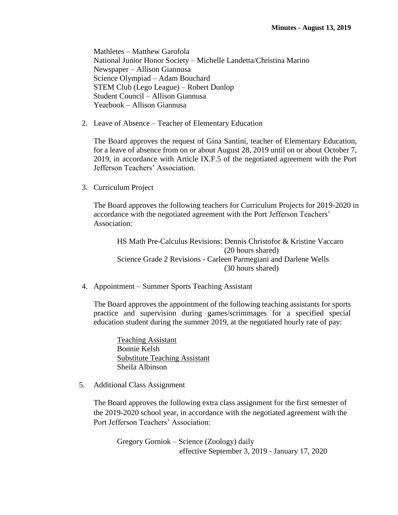Mathletes – Matthew Garofola National Junior Honor Society – Michelle Landetta/Christina Marino Newspaper – Allison Giannusa Science Olympiad – Adam Bouchard STEM Club (Lego League) – Robert Dunlop Student Council – Allison Giannusa Yearbook – Allison Giannusa

2. Leave of Absence – Teacher of Elementary Education

The Board approves the request of Gina Santini, teacher of Elementary Education, for a leave of absence from on or about August 28, 2019 until on or about October 7, 2019, in accordance with Article IX.F.5 of the negotiated agreement with the Port Jefferson Teachers' Association.

3. Curriculum Project

The Board approves the following teachers for Curriculum Projects for 2019-2020 in accordance with the negotiated agreement with the Port Jefferson Teachers' Association:

HS Math Pre-Calculus Revisions: Dennis Christofor & Kristine Vaccaro (20 hours shared) Science Grade 2 Revisions - Carleen Parmegiani and Darlene Wells (30 hours shared)

4. Appointment – Summer Sports Teaching Assistant

The Board approves the appointment of the following teaching assistants for sports practice and supervision during games/scrimmages for a specified special education student during the summer 2019, at the negotiated hourly rate of pay:

Teaching Assistant Bonnie Kelsh Substitute Teaching Assistant Sheila Albinson

5. Additional Class Assignment

The Board approves the following extra class assignment for the first semester of the 2019-2020 school year, in accordance with the negotiated agreement with the Port Jefferson Teachers' Association:

Gregory Gorniok – Science (Zoology) daily effective September 3, 2019 - January 17, 2020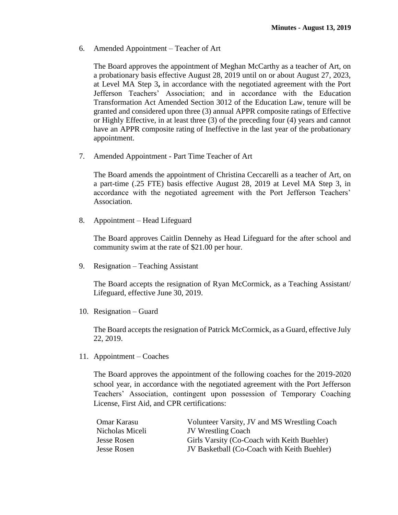6. Amended Appointment – Teacher of Art

The Board approves the appointment of Meghan McCarthy as a teacher of Art, on a probationary basis effective August 28, 2019 until on or about August 27, 2023, at Level MA Step 3**,** in accordance with the negotiated agreement with the Port Jefferson Teachers' Association; and in accordance with the Education Transformation Act Amended Section 3012 of the Education Law, tenure will be granted and considered upon three (3) annual APPR composite ratings of Effective or Highly Effective, in at least three (3) of the preceding four (4) years and cannot have an APPR composite rating of Ineffective in the last year of the probationary appointment.

7. Amended Appointment - Part Time Teacher of Art

The Board amends the appointment of Christina Ceccarelli as a teacher of Art, on a part-time (.25 FTE) basis effective August 28, 2019 at Level MA Step 3, in accordance with the negotiated agreement with the Port Jefferson Teachers' Association.

8. Appointment – Head Lifeguard

The Board approves Caitlin Dennehy as Head Lifeguard for the after school and community swim at the rate of \$21.00 per hour.

9. Resignation – Teaching Assistant

The Board accepts the resignation of Ryan McCormick, as a Teaching Assistant/ Lifeguard, effective June 30, 2019.

10. Resignation – Guard

The Board accepts the resignation of Patrick McCormick, as a Guard, effective July 22, 2019.

11. Appointment – Coaches

The Board approves the appointment of the following coaches for the 2019-2020 school year, in accordance with the negotiated agreement with the Port Jefferson Teachers' Association, contingent upon possession of Temporary Coaching License, First Aid, and CPR certifications:

| Omar Karasu     | Volunteer Varsity, JV and MS Wrestling Coach |
|-----------------|----------------------------------------------|
| Nicholas Miceli | <b>JV</b> Wrestling Coach                    |
| Jesse Rosen     | Girls Varsity (Co-Coach with Keith Buehler)  |
| Jesse Rosen     | JV Basketball (Co-Coach with Keith Buehler)  |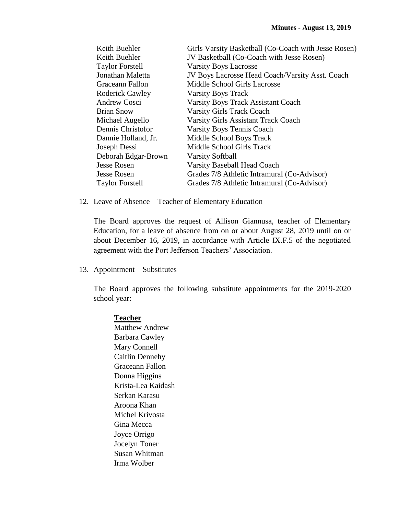| Girls Varsity Basketball (Co-Coach with Jesse Rosen) |
|------------------------------------------------------|
| JV Basketball (Co-Coach with Jesse Rosen)            |
| <b>Varsity Boys Lacrosse</b>                         |
| JV Boys Lacrosse Head Coach/Varsity Asst. Coach      |
| Middle School Girls Lacrosse                         |
| <b>Varsity Boys Track</b>                            |
| <b>Varsity Boys Track Assistant Coach</b>            |
| <b>Varsity Girls Track Coach</b>                     |
| <b>Varsity Girls Assistant Track Coach</b>           |
| <b>Varsity Boys Tennis Coach</b>                     |
| Middle School Boys Track                             |
| Middle School Girls Track                            |
| <b>Varsity Softball</b>                              |
| <b>Varsity Baseball Head Coach</b>                   |
| Grades 7/8 Athletic Intramural (Co-Advisor)          |
| Grades 7/8 Athletic Intramural (Co-Advisor)          |
|                                                      |

12. Leave of Absence – Teacher of Elementary Education

The Board approves the request of Allison Giannusa, teacher of Elementary Education, for a leave of absence from on or about August 28, 2019 until on or about December 16, 2019, in accordance with Article IX.F.5 of the negotiated agreement with the Port Jefferson Teachers' Association.

13. Appointment – Substitutes

The Board approves the following substitute appointments for the 2019-2020 school year:

## **Teacher**

Matthew Andrew Barbara Cawley Mary Connell Caitlin Dennehy Graceann Fallon Donna Higgins Krista-Lea Kaidash Serkan Karasu Aroona Khan Michel Krivosta Gina Mecca Joyce Orrigo Jocelyn Toner Susan Whitman Irma Wolber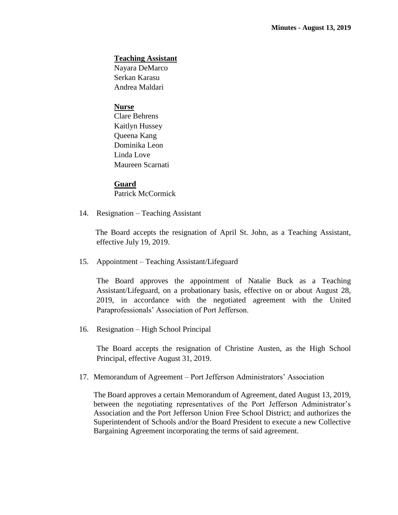### **Teaching Assistant**

Nayara DeMarco Serkan Karasu Andrea Maldari

### **Nurse**

Clare Behrens Kaitlyn Hussey Queena Kang Dominika Leon Linda Love Maureen Scarnati

### **Guard**

Patrick McCormick

14. Resignation – Teaching Assistant

The Board accepts the resignation of April St. John, as a Teaching Assistant, effective July 19, 2019.

15. Appointment – Teaching Assistant/Lifeguard

The Board approves the appointment of Natalie Buck as a Teaching Assistant/Lifeguard, on a probationary basis, effective on or about August 28, 2019, in accordance with the negotiated agreement with the United Paraprofessionals' Association of Port Jefferson.

16. Resignation – High School Principal

The Board accepts the resignation of Christine Austen, as the High School Principal, effective August 31, 2019.

17. Memorandum of Agreement – Port Jefferson Administrators' Association

The Board approves a certain Memorandum of Agreement, dated August 13, 2019, between the negotiating representatives of the Port Jefferson Administrator's Association and the Port Jefferson Union Free School District; and authorizes the Superintendent of Schools and/or the Board President to execute a new Collective Bargaining Agreement incorporating the terms of said agreement.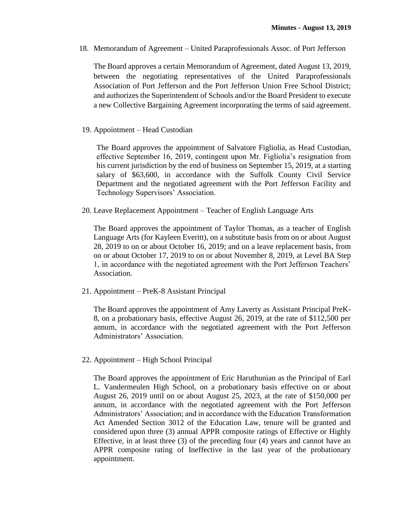18. Memorandum of Agreement – United Paraprofessionals Assoc. of Port Jefferson

The Board approves a certain Memorandum of Agreement, dated August 13, 2019, between the negotiating representatives of the United Paraprofessionals Association of Port Jefferson and the Port Jefferson Union Free School District; and authorizes the Superintendent of Schools and/or the Board President to execute a new Collective Bargaining Agreement incorporating the terms of said agreement.

19. Appointment – Head Custodian

The Board approves the appointment of Salvatore Figliolia, as Head Custodian, effective September 16, 2019, contingent upon Mr. Figliolia's resignation from his current jurisdiction by the end of business on September 15, 2019, at a starting salary of \$63,600, in accordance with the Suffolk County Civil Service Department and the negotiated agreement with the Port Jefferson Facility and Technology Supervisors' Association.

20. Leave Replacement Appointment – Teacher of English Language Arts

The Board approves the appointment of Taylor Thomas, as a teacher of English Language Arts (for Kayleen Everitt), on a substitute basis from on or about August 28, 2019 to on or about October 16, 2019; and on a leave replacement basis, from on or about October 17, 2019 to on or about November 8, 2019, at Level BA Step 1, in accordance with the negotiated agreement with the Port Jefferson Teachers' Association.

21. Appointment – PreK-8 Assistant Principal

The Board approves the appointment of Amy Laverty as Assistant Principal PreK-8, on a probationary basis, effective August 26, 2019, at the rate of \$112,500 per annum, in accordance with the negotiated agreement with the Port Jefferson Administrators' Association.

22. Appointment – High School Principal

The Board approves the appointment of Eric Haruthunian as the Principal of Earl L. Vandermeulen High School, on a probationary basis effective on or about August 26, 2019 until on or about August 25, 2023, at the rate of \$150,000 per annum, in accordance with the negotiated agreement with the Port Jefferson Administrators' Association; and in accordance with the Education Transformation Act Amended Section 3012 of the Education Law, tenure will be granted and considered upon three (3) annual APPR composite ratings of Effective or Highly Effective, in at least three (3) of the preceding four (4) years and cannot have an APPR composite rating of Ineffective in the last year of the probationary appointment.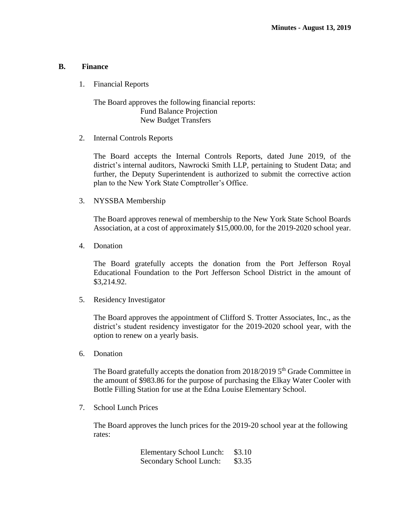#### **B. Finance**

1. Financial Reports

The Board approves the following financial reports: Fund Balance Projection New Budget Transfers

2. Internal Controls Reports

The Board accepts the Internal Controls Reports, dated June 2019, of the district's internal auditors, Nawrocki Smith LLP, pertaining to Student Data; and further, the Deputy Superintendent is authorized to submit the corrective action plan to the New York State Comptroller's Office.

3. NYSSBA Membership

The Board approves renewal of membership to the New York State School Boards Association, at a cost of approximately \$15,000.00, for the 2019-2020 school year.

4. Donation

The Board gratefully accepts the donation from the Port Jefferson Royal Educational Foundation to the Port Jefferson School District in the amount of \$3,214.92.

5. Residency Investigator

The Board approves the appointment of Clifford S. Trotter Associates, Inc., as the district's student residency investigator for the 2019-2020 school year, with the option to renew on a yearly basis.

6. Donation

The Board gratefully accepts the donation from  $2018/2019$  5<sup>th</sup> Grade Committee in the amount of \$983.86 for the purpose of purchasing the Elkay Water Cooler with Bottle Filling Station for use at the Edna Louise Elementary School.

7. School Lunch Prices

The Board approves the lunch prices for the 2019-20 school year at the following rates:

| <b>Elementary School Lunch:</b> | \$3.10 |
|---------------------------------|--------|
| Secondary School Lunch:         | \$3.35 |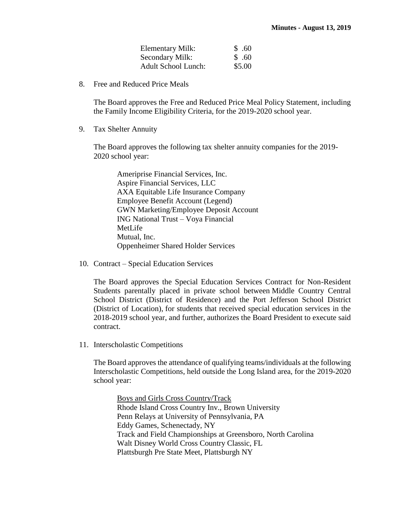| Elementary Milk:           | \$.60  |
|----------------------------|--------|
| Secondary Milk:            | \$.60  |
| <b>Adult School Lunch:</b> | \$5.00 |

8. Free and Reduced Price Meals

The Board approves the Free and Reduced Price Meal Policy Statement, including the Family Income Eligibility Criteria, for the 2019-2020 school year.

9. Tax Shelter Annuity

The Board approves the following tax shelter annuity companies for the 2019- 2020 school year:

Ameriprise Financial Services, Inc. Aspire Financial Services, LLC AXA Equitable Life Insurance Company Employee Benefit Account (Legend) GWN Marketing/Employee Deposit Account ING National Trust – Voya Financial MetLife Mutual, Inc. Oppenheimer Shared Holder Services

10. Contract – Special Education Services

The Board approves the Special Education Services Contract for Non-Resident Students parentally placed in private school between Middle Country Central School District (District of Residence) and the Port Jefferson School District (District of Location), for students that received special education services in the 2018-2019 school year, and further, authorizes the Board President to execute said contract.

11. Interscholastic Competitions

The Board approves the attendance of qualifying teams/individuals at the following Interscholastic Competitions, held outside the Long Island area, for the 2019-2020 school year:

Boys and Girls Cross Country/Track Rhode Island Cross Country Inv., Brown University Penn Relays at University of Pennsylvania, PA Eddy Games, Schenectady, NY Track and Field Championships at Greensboro, North Carolina Walt Disney World Cross Country Classic, FL Plattsburgh Pre State Meet, Plattsburgh NY